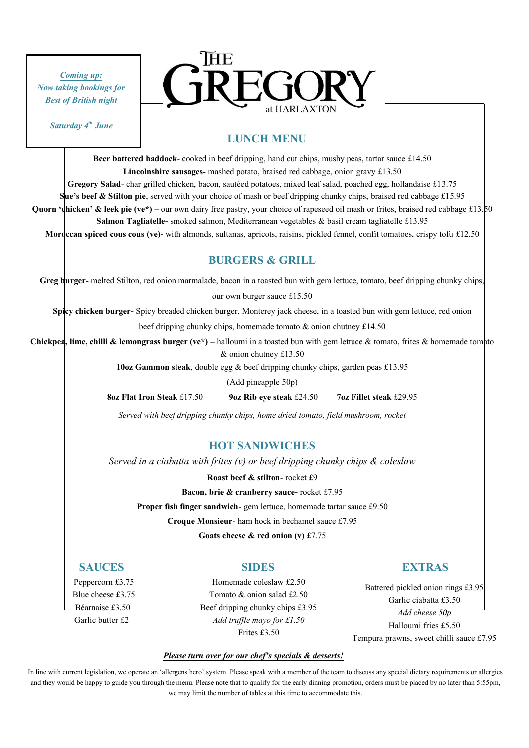*Coming up: Now taking bookings for Best of British night*





## **LUNCH MENU**

**Beer battered haddock**- cooked in beef dripping, hand cut chips, mushy peas, tartar sauce £14.50 **Lincolnshire sausages-** mashed potato, braised red cabbage, onion gravy £13.50 **Gregory Salad**- char grilled chicken, bacon, sautéed potatoes, mixed leaf salad, poached egg, hollandaise £13.75 **Sue's beef & Stilton pie**, served with your choice of mash or beef dripping chunky chips, braised red cabbage £15.95 **Quorn 'dhicken' & leek pie (ve\*)** – our own dairy free pastry, your choice of rapeseed oil mash or frites, braised red cabbage £13.50 **Salmon Tagliatelle-** smoked salmon, Mediterranean vegetables & basil cream tagliatelle £13.95 **Moroccan spiced cous cous (ve)-** with almonds, sultanas, apricots, raisins, pickled fennel, confit tomatoes, crispy tofu £12.50

# **BURGERS & GRILL**

**Greg burger-** melted Stilton, red onion marmalade, bacon in a toasted bun with gem lettuce, tomato, beef dripping chunky chips, our own burger sauce £15.50

**Spicy chicken burger-** Spicy breaded chicken burger, Monterey jack cheese, in a toasted bun with gem lettuce, red onion

beef dripping chunky chips, homemade tomato & onion chutney £14.50

**Chickpea, lime, chilli & lemongrass burger (ve\*) –** halloumi in a toasted bun with gem lettuce & tomato, frites & homemade tomato & onion chutney £13.50

**10oz Gammon steak**, double egg & beef dripping chunky chips, garden peas £13.95

(Add pineapple 50p)

**8oz Flat Iron Steak** £17.50 **9oz Rib eye steak** £24.50 **7oz Fillet steak** £29.95

*Served with beef dripping chunky chips, home dried tomato, field mushroom, rocket*

## **HOT SANDWICHES**

*Served in a ciabatta with frites (v) or beef dripping chunky chips & coleslaw*

**Roast beef & stilton**- rocket £9

**Bacon, brie & cranberry sauce-** rocket £7.95

**Proper fish finger sandwich**- gem lettuce, homemade tartar sauce £9.50

**Croque Monsieur**- ham hock in bechamel sauce £7.95

**Goats cheese & red onion (v)** £7.75

## **SAUCES**

# **SIDES**

Battered pickled onion rings £3.95

 Peppercorn £3.75 Blue cheese £3.75 Béarnaise £3.50

Garlic butter £2

### Homemade coleslaw £2.50 Tomato & onion salad £2.50 Beef dripping chunky chips £3.95 *Add truffle mayo for £1.50* Frites £3.50

Garlic ciabatta £3.50 *Add cheese 50p* Halloumi fries £5.50

Tempura prawns, sweet chilli sauce £7.95

### *Please turn over for our chef's specials & desserts!*

In line with current legislation, we operate an 'allergens hero' system. Please speak with a member of the team to discuss any special dietary requirements or allergies and they would be happy to guide you through the menu. Please note that to qualify for the early dinning promotion, orders must be placed by no later than 5:55pm, we may limit the number of tables at this time to accommodate this.

# **EXTRAS**